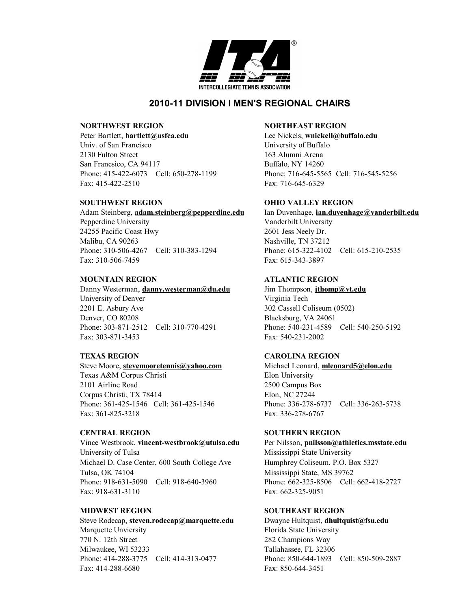

# **2010-11 DIVISION I MEN'S REGIONAL CHAIRS**

### **NORTHWEST REGION NORTHEAST REGION**

Peter Bartlett, **[bartlett@usfca.edu](mailto:bartlett@usfca.edu)** Lee Nickels, [wnickell@buffalo.edu](mailto:wnickell@buffalo.edu) Univ. of San Francisco University of Buffalo 2130 Fulton Street 163 Alumni Arena San Francsico, CA 94117 Buffalo, NY 14260 Phone: 415-422-6073 Cell: 650-278-1199 Phone: 716-645-5565 Cell: 716-545-5256 Fax: 415-422-2510 Fax: 716-645-6329

Adam Steinberg, **[adam.steinberg@pepperdine.edu](mailto:adam.steinberg@pepperdine.edu)** Ian Duvenhage, **[ian.duvenhage@vanderbilt.edu](mailto:ian.duvenhage@vanderbilt.edu)**

Pepperdine University Vanderbilt University 24255 Pacific Coast Hwy 2601 Jess Neely Dr. Malibu, CA 90263 Nashville, TN 37212 Phone: 310-506-4267 Cell: 310-383-1294 Phone: 615-322-4102 Cell: 615-210-2535 Fax: 310-506-7459 Fax: 615-343-3897

### **MOUNTAIN REGION ATLANTIC REGION**

Danny Westerman, **[danny.westerman@du.edu](mailto:danny.westerman@du.edu)** Jim Thompson, **[jthomp@vt.edu](mailto:jthomp@vt.edu)** University of Denver Virginia Tech 2201 E. Asbury Ave 302 Cassell Coliseum (0502) Denver, CO 80208 Blacksburg, VA 24061 Phone: 303-871-2512 Cell: 310-770-4291 Phone: 540-231-4589 Cell: 540-250-5192 Fax: 303-871-3453 Fax: 540-231-2002

Steve Moore, **[stevemooretennis@yahoo.com](mailto:stevemooretennis@yahoo.com)** Michael Leonard, **[mleonard5@elon.edu](mailto:mleonard5@elon.edu)** Texas A&M Corpus Christi Elon University 2101 Airline Road 2500 Campus Box Corpus Christi, TX 78414 Elon, NC 27244 Phone: 361-425-1546 Cell: 361-425-1546 Phone: 336-278-6737 Cell: 336-263-5738 Fax: 361-825-3218 Fax: 336-278-6767

Vince Westbrook, **[vincent-westbrook@utulsa.edu](mailto:vincent-westbrook@utulsa.edu)** Per Nilsson, **[pnilsson@athletics.msstate.edu](mailto:pnilsson@athletics.msstate.edu)** University of Tulsa **Mississippi** State University Michael D. Case Center, 600 South College Ave Humphrey Coliseum, P.O. Box 5327 Tulsa, OK 74104 Mississippi State, MS 39762 Phone: 918-631-5090 Cell: 918-640-3960 Phone: 662-325-8506 Cell: 662-418-2727 Fax: 918-631-3110 Fax: 662-325-9051

Steve Rodecap, **[steven.rodecap@marquette.edu](mailto:steven.rodecap@marquette.edu)** Dwayne Hultquist, **[dhultquist@fsu.edu](mailto:dhultquist@fsu.edu)** Marquette Unviersity **Florida** State University 770 N. 12th Street 282 Champions Way Milwaukee, WI 53233 Tallahassee, FL 32306 Phone: 414-288-3775 Cell: 414-313-0477 Phone: 850-644-1893 Cell: 850-509-2887 Fax: 414-288-6680 Fax: 850-644-3451

## **SOUTHWEST REGION OHIO VALLEY REGION**

## **TEXAS REGION CAROLINA REGION**

## **CENTRAL REGION SOUTHERN REGION**

## **MIDWEST REGION SOUTHEAST REGION**